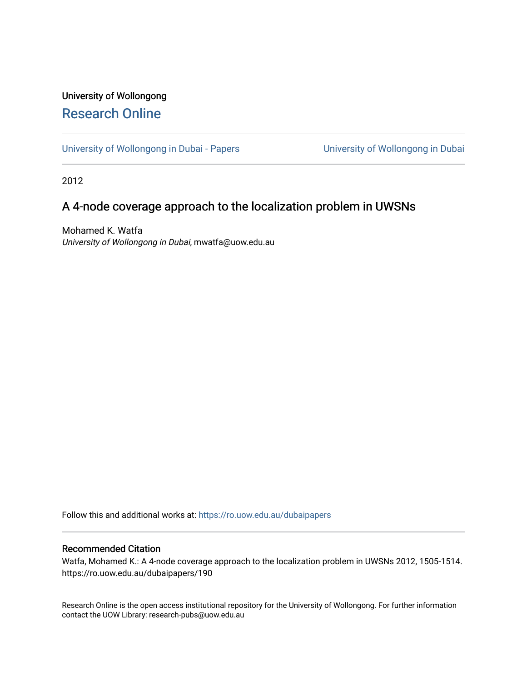# University of Wollongong [Research Online](https://ro.uow.edu.au/)

[University of Wollongong in Dubai - Papers](https://ro.uow.edu.au/dubaipapers) **University of Wollongong in Dubai** 

2012

# A 4-node coverage approach to the localization problem in UWSNs

Mohamed K. Watfa University of Wollongong in Dubai, mwatfa@uow.edu.au

Follow this and additional works at: [https://ro.uow.edu.au/dubaipapers](https://ro.uow.edu.au/dubaipapers?utm_source=ro.uow.edu.au%2Fdubaipapers%2F190&utm_medium=PDF&utm_campaign=PDFCoverPages) 

## Recommended Citation

Watfa, Mohamed K.: A 4-node coverage approach to the localization problem in UWSNs 2012, 1505-1514. https://ro.uow.edu.au/dubaipapers/190

Research Online is the open access institutional repository for the University of Wollongong. For further information contact the UOW Library: research-pubs@uow.edu.au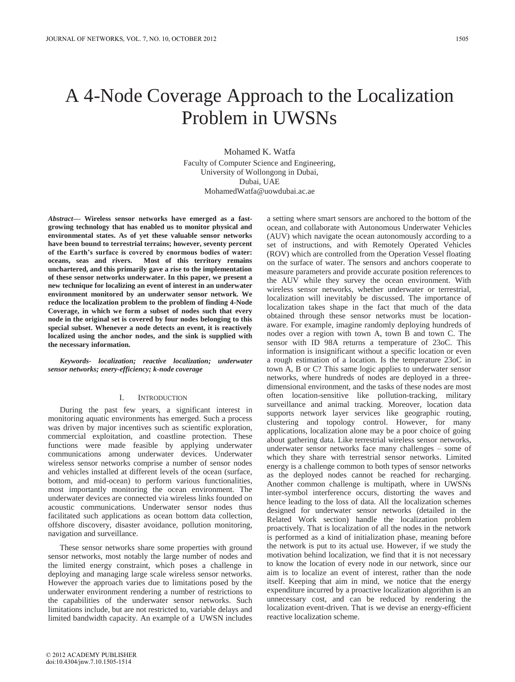# A 4-Node Coverage Approach to the Localization Problem in UWSNs

Mohamed K. Watfa Faculty of Computer Science and Engineering, University of Wollongong in Dubai, Dubai, UAE MohamedWatfa@uowdubai.ac.ae

*Abstract***— Wireless sensor networks have emerged as a fastgrowing technology that has enabled us to monitor physical and environmental states. As of yet these valuable sensor networks have been bound to terrestrial terrains; however, seventy percent of the Earth's surface is covered by enormous bodies of water: oceans, seas and rivers. Most of this territory remains unchartered, and this primarily gave a rise to the implementation of these sensor networks underwater. In this paper, we present a new technique for localizing an event of interest in an underwater environment monitored by an underwater sensor network. We reduce the localization problem to the problem of finding 4-Node Coverage, in which we form a subset of nodes such that every node in the original set is covered by four nodes belonging to this special subset. Whenever a node detects an event, it is reactively localized using the anchor nodes, and the sink is supplied with the necessary information.** 

*Keywords- localization; reactive localization; underwater sensor networks; enery-efficiency; k-node coverage* 

#### I. INTRODUCTION

During the past few years, a significant interest in monitoring aquatic environments has emerged. Such a process was driven by major incentives such as scientific exploration, commercial exploitation, and coastline protection. These functions were made feasible by applying underwater communications among underwater devices. Underwater wireless sensor networks comprise a number of sensor nodes and vehicles installed at different levels of the ocean (surface, bottom, and mid-ocean) to perform various functionalities, most importantly monitoring the ocean environment. The underwater devices are connected via wireless links founded on acoustic communications. Underwater sensor nodes thus facilitated such applications as ocean bottom data collection, offshore discovery, disaster avoidance, pollution monitoring, navigation and surveillance.

These sensor networks share some properties with ground sensor networks, most notably the large number of nodes and the limited energy constraint, which poses a challenge in deploying and managing large scale wireless sensor networks. However the approach varies due to limitations posed by the underwater environment rendering a number of restrictions to the capabilities of the underwater sensor networks. Such limitations include, but are not restricted to, variable delays and limited bandwidth capacity. An example of a UWSN includes

a setting where smart sensors are anchored to the bottom of the ocean, and collaborate with Autonomous Underwater Vehicles (AUV) which navigate the ocean autonomously according to a set of instructions, and with Remotely Operated Vehicles (ROV) which are controlled from the Operation Vessel floating on the surface of water. The sensors and anchors cooperate to measure parameters and provide accurate position references to the AUV while they survey the ocean environment. With wireless sensor networks, whether underwater or terrestrial, localization will inevitably be discussed. The importance of localization takes shape in the fact that much of the data obtained through these sensor networks must be locationaware. For example, imagine randomly deploying hundreds of nodes over a region with town A, town B and town C. The sensor with ID 98A returns a temperature of 23oC. This information is insignificant without a specific location or even a rough estimation of a location. Is the temperature 23oC in town A, B or C? This same logic applies to underwater sensor networks, where hundreds of nodes are deployed in a threedimensional environment, and the tasks of these nodes are most often location-sensitive like pollution-tracking, military surveillance and animal tracking. Moreover, location data supports network layer services like geographic routing, clustering and topology control. However, for many applications, localization alone may be a poor choice of going about gathering data. Like terrestrial wireless sensor networks, underwater sensor networks face many challenges – some of which they share with terrestrial sensor networks. Limited energy is a challenge common to both types of sensor networks as the deployed nodes cannot be reached for recharging. Another common challenge is multipath, where in UWSNs inter-symbol interference occurs, distorting the waves and hence leading to the loss of data. All the localization schemes designed for underwater sensor networks (detailed in the Related Work section) handle the localization problem proactively. That is localization of all the nodes in the network is performed as a kind of initialization phase, meaning before the network is put to its actual use. However, if we study the motivation behind localization, we find that it is not necessary to know the location of every node in our network, since our aim is to localize an event of interest, rather than the node itself. Keeping that aim in mind, we notice that the energy expenditure incurred by a proactive localization algorithm is an unnecessary cost, and can be reduced by rendering the localization event-driven. That is we devise an energy-efficient reactive localization scheme.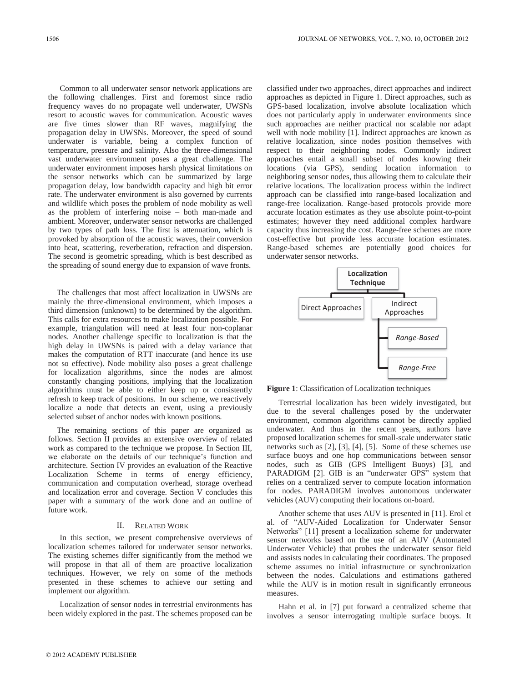Common to all underwater sensor network applications are the following challenges. First and foremost since radio frequency waves do no propagate well underwater, UWSNs resort to acoustic waves for communication. Acoustic waves are five times slower than RF waves, magnifying the propagation delay in UWSNs. Moreover, the speed of sound underwater is variable, being a complex function of temperature, pressure and salinity. Also the three-dimensional vast underwater environment poses a great challenge. The underwater environment imposes harsh physical limitations on the sensor networks which can be summarized by large propagation delay, low bandwidth capacity and high bit error rate. The underwater environment is also governed by currents and wildlife which poses the problem of node mobility as well as the problem of interfering noise – both man-made and ambient. Moreover, underwater sensor networks are challenged by two types of path loss. The first is attenuation, which is provoked by absorption of the acoustic waves, their conversion into heat, scattering, reverberation, refraction and dispersion. The second is geometric spreading, which is best described as the spreading of sound energy due to expansion of wave fronts.

The challenges that most affect localization in UWSNs are mainly the three-dimensional environment, which imposes a third dimension (unknown) to be determined by the algorithm. This calls for extra resources to make localization possible. For example, triangulation will need at least four non-coplanar nodes. Another challenge specific to localization is that the high delay in UWSNs is paired with a delay variance that makes the computation of RTT inaccurate (and hence its use not so effective). Node mobility also poses a great challenge for localization algorithms, since the nodes are almost constantly changing positions, implying that the localization algorithms must be able to either keep up or consistently refresh to keep track of positions. In our scheme, we reactively localize a node that detects an event, using a previously selected subset of anchor nodes with known positions.

The remaining sections of this paper are organized as follows. Section II provides an extensive overview of related work as compared to the technique we propose. In Section III, we elaborate on the details of our technique's function and architecture. Section IV provides an evaluation of the Reactive Localization Scheme in terms of energy efficiency, communication and computation overhead, storage overhead and localization error and coverage. Section V concludes this paper with a summary of the work done and an outline of future work.

#### II. RELATED WORK

In this section, we present comprehensive overviews of localization schemes tailored for underwater sensor networks. The existing schemes differ significantly from the method we will propose in that all of them are proactive localization techniques. However, we rely on some of the methods presented in these schemes to achieve our setting and implement our algorithm.

Localization of sensor nodes in terrestrial environments has been widely explored in the past. The schemes proposed can be classified under two approaches, direct approaches and indirect approaches as depicted in Figure 1. Direct approaches, such as GPS-based localization, involve absolute localization which does not particularly apply in underwater environments since such approaches are neither practical nor scalable nor adapt well with node mobility [1]. Indirect approaches are known as relative localization, since nodes position themselves with respect to their neighboring nodes. Commonly indirect approaches entail a small subset of nodes knowing their locations (via GPS), sending location information to neighboring sensor nodes, thus allowing them to calculate their relative locations. The localization process within the indirect approach can be classified into range-based localization and range-free localization. Range-based protocols provide more accurate location estimates as they use absolute point-to-point estimates; however they need additional complex hardware capacity thus increasing the cost. Range-free schemes are more cost-effective but provide less accurate location estimates. Range-based schemes are potentially good choices for underwater sensor networks.



**Figure 1**: Classification of Localization techniques

Terrestrial localization has been widely investigated, but due to the several challenges posed by the underwater environment, common algorithms cannot be directly applied underwater. And thus in the recent years, authors have proposed localization schemes for small-scale underwater static networks such as [2], [3], [4], [5]. Some of these schemes use surface buoys and one hop communications between sensor nodes, such as GIB (GPS Intelligent Buoys) [3], and PARADIGM [2]. GIB is an "underwater GPS" system that relies on a centralized server to compute location information for nodes. PARADIGM involves autonomous underwater vehicles (AUV) computing their locations on-board.

Another scheme that uses AUV is presented in [11]. Erol et al. of "AUV-Aided Localization for Underwater Sensor Networks" [11] present a localization scheme for underwater sensor networks based on the use of an AUV (Automated Underwater Vehicle) that probes the underwater sensor field and assists nodes in calculating their coordinates. The proposed scheme assumes no initial infrastructure or synchronization between the nodes. Calculations and estimations gathered while the AUV is in motion result in significantly erroneous measures.

Hahn et al. in [7] put forward a centralized scheme that involves a sensor interrogating multiple surface buoys. It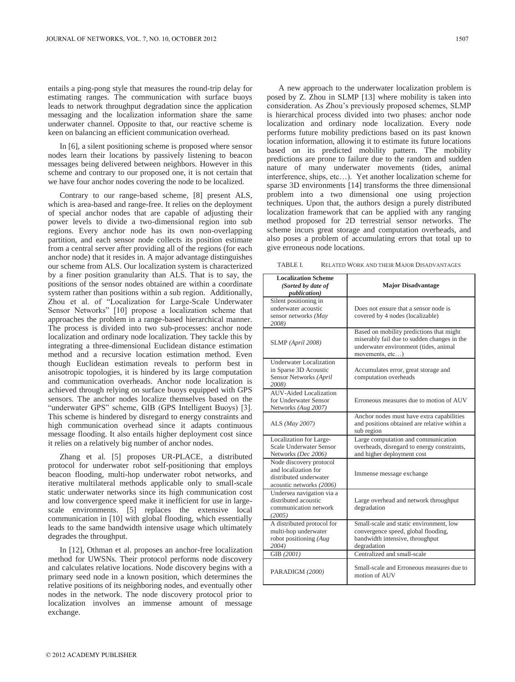entails a ping-pong style that measures the round-trip delay for estimating ranges. The communication with surface buoys leads to network throughput degradation since the application messaging and the localization information share the same underwater channel. Opposite to that, our reactive scheme is keen on balancing an efficient communication overhead.

In [6], a silent positioning scheme is proposed where sensor nodes learn their locations by passively listening to beacon messages being delivered between neighbors. However in this scheme and contrary to our proposed one, it is not certain that we have four anchor nodes covering the node to be localized.

Contrary to our range-based scheme, [8] present ALS, which is area-based and range-free. It relies on the deployment of special anchor nodes that are capable of adjusting their power levels to divide a two-dimensional region into sub regions. Every anchor node has its own non-overlapping partition, and each sensor node collects its position estimate from a central server after providing all of the regions (for each anchor node) that it resides in. A major advantage distinguishes our scheme from ALS. Our localization system is characterized by a finer position granularity than ALS. That is to say, the positions of the sensor nodes obtained are within a coordinate system rather than positions within a sub region. Additionally, Zhou et al. of "Localization for Large-Scale Underwater Sensor Networks" [10] propose a localization scheme that approaches the problem in a range-based hierarchical manner. The process is divided into two sub-processes: anchor node localization and ordinary node localization. They tackle this by integrating a three-dimensional Euclidean distance estimation method and a recursive location estimation method. Even though Euclidean estimation reveals to perform best in anisotropic topologies, it is hindered by its large computation and communication overheads. Anchor node localization is achieved through relying on surface buoys equipped with GPS sensors. The anchor nodes localize themselves based on the "underwater GPS" scheme, GIB (GPS Intelligent Buoys) [3]. This scheme is hindered by disregard to energy constraints and high communication overhead since it adapts continuous message flooding. It also entails higher deployment cost since it relies on a relatively big number of anchor nodes.

Zhang et al. [5] proposes UR-PLACE, a distributed protocol for underwater robot self-positioning that employs beacon flooding, multi-hop underwater robot networks, and iterative multilateral methods applicable only to small-scale static underwater networks since its high communication cost and low convergence speed make it inefficient for use in largescale environments. [5] replaces the extensive local communication in [10] with global flooding, which essentially leads to the same bandwidth intensive usage which ultimately degrades the throughput.

In [12], Othman et al. proposes an anchor-free localization method for UWSNs. Their protocol performs node discovery and calculates relative locations. Node discovery begins with a primary seed node in a known position, which determines the relative positions of its neighboring nodes, and eventually other nodes in the network. The node discovery protocol prior to localization involves an immense amount of message exchange.

A new approach to the underwater localization problem is posed by Z. Zhou in SLMP [13] where mobility is taken into consideration. As Zhou's previously proposed schemes, SLMP is hierarchical process divided into two phases: anchor node localization and ordinary node localization. Every node performs future mobility predictions based on its past known location information, allowing it to estimate its future locations based on its predicted mobility pattern. The mobility predictions are prone to failure due to the random and sudden nature of many underwater movements (tides, animal interference, ships, etc…). Yet another localization scheme for sparse 3D environments [14] transforms the three dimensional problem into a two dimensional one using projection techniques. Upon that, the authors design a purely distributed localization framework that can be applied with any ranging method proposed for 2D terrestrial sensor networks. The scheme incurs great storage and computation overheads, and also poses a problem of accumulating errors that total up to give erroneous node locations.

TABLE I. RELATED WORK AND THEIR MAJOR DISADVANTAGES

| <b>Localization Scheme</b><br>(Sorted by date of<br><i>publication</i> )                              | <b>Major Disadvantage</b>                                                                                                                           |
|-------------------------------------------------------------------------------------------------------|-----------------------------------------------------------------------------------------------------------------------------------------------------|
| Silent positioning in<br>underwater acoustic<br>sensor networks (May<br>2008)                         | Does not ensure that a sensor node is<br>covered by 4 nodes (localizable)                                                                           |
| SLMP (April 2008)                                                                                     | Based on mobility predictions that might<br>miserably fail due to sudden changes in the<br>underwater environment (tides, animal<br>movements, etc) |
| Underwater Localization<br>in Sparse 3D Acoustic<br>Sensor Networks (April<br>2008)                   | Accumulates error, great storage and<br>computation overheads                                                                                       |
| AUV-Aided Localization<br>for Underwater Sensor<br>Networks (Aug 2007)                                | Erroneous measures due to motion of AUV                                                                                                             |
| ALS (May 2007)                                                                                        | Anchor nodes must have extra capabilities<br>and positions obtained are relative within a<br>sub region                                             |
| Localization for Large-<br>Scale Underwater Sensor<br>Networks (Dec 2006)                             | Large computation and communication<br>overheads, disregard to energy constraints,<br>and higher deployment cost                                    |
| Node discovery protocol<br>and localization for<br>distributed underwater<br>acoustic networks (2006) | Immense message exchange                                                                                                                            |
| Undersea navigation via a<br>distributed acoustic<br>communication network<br>(2005)                  | Large overhead and network throughput<br>degradation                                                                                                |
| A distributed protocol for<br>multi-hop underwater<br>robot positioning (Aug<br>2004)                 | Small-scale and static environment, low<br>convergence speed, global flooding,<br>bandwidth intensive, throughput<br>degradation                    |
| GIB (2001)                                                                                            | Centralized and small-scale                                                                                                                         |
| PARADIGM (2000)                                                                                       | Small-scale and Erroneous measures due to<br>motion of AUV                                                                                          |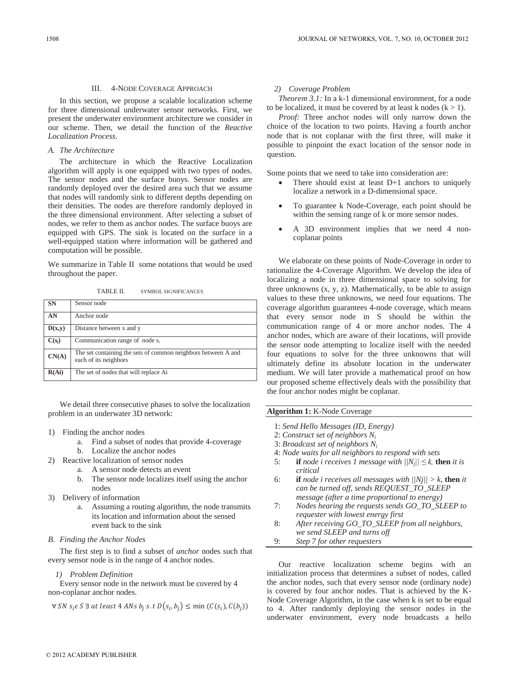#### III. 4-NODE COVERAGE APPROACH

In this section, we propose a scalable localization scheme for three dimensional underwater sensor networks. First, we present the underwater environment architecture we consider in our scheme. Then, we detail the function of the *Reactive Localization Process.* 

#### *A. The Architecture*

The architecture in which the Reactive Localization algorithm will apply is one equipped with two types of nodes. The sensor nodes and the surface buoys. Sensor nodes are randomly deployed over the desired area such that we assume that nodes will randomly sink to different depths depending on their densities. The nodes are therefore randomly deployed in the three dimensional environment. After selecting a subset of nodes, we refer to them as anchor nodes. The surface buoys are equipped with GPS. The sink is located on the surface in a well-equipped station where information will be gathered and computation will be possible.

We summarize in Table II some notations that would be used throughout the paper.

TABLE II. SYMBOL SIGNIFICANCES

| <b>SN</b> | Sensor node                                                                            |
|-----------|----------------------------------------------------------------------------------------|
| AN        | Anchor node                                                                            |
| D(x,y)    | Distance between x and y                                                               |
| $C(s_i)$  | Communication range of node s <sub>i</sub>                                             |
| CN(A)     | The set containing the sets of common neighbors between A and<br>each of its neighbors |
| R(Ai)     | The set of nodes that will replace Ai                                                  |

We detail three consecutive phases to solve the localization problem in an underwater 3D network:

- 1) Finding the anchor nodes
	- a. Find a subset of nodes that provide 4-coverage
	- b. Localize the anchor nodes
- 2) Reactive localization of sensor nodes
	- a. A sensor node detects an event
	- b. The sensor node localizes itself using the anchor nodes
- 3) Delivery of information
	- a. Assuming a routing algorithm, the node transmits its location and information about the sensed event back to the sink
- *B. Finding the Anchor Nodes*

The first step is to find a subset of *anchor* nodes such that every sensor node is in the range of 4 anchor nodes.

### *1) Problem Definition*

Every sensor node in the network must be covered by 4 non-coplanar anchor nodes.

$$
\forall SN s_i \in S \exists at least 4 ANs b_j s.t D(s_i, b_j) \le \min (C(s_i), C(b_j))
$$

#### *2) Coverage Problem*

*Theorem 3.1:* In a k-1 dimensional environment, for a node to be localized, it must be covered by at least k nodes  $(k > 1)$ .

*Proof:* Three anchor nodes will only narrow down the choice of the location to two points. Having a fourth anchor node that is not coplanar with the first three, will make it possible to pinpoint the exact location of the sensor node in question.

Some points that we need to take into consideration are:

- There should exist at least  $D+1$  anchors to uniquely localize a network in a D-dimensional space.
- To guarantee k Node-Coverage, each point should be within the sensing range of k or more sensor nodes.
- x A 3D environment implies that we need 4 noncoplanar points

We elaborate on these points of Node-Coverage in order to rationalize the 4-Coverage Algorithm. We develop the idea of localizing a node in three dimensional space to solving for three unknowns  $(x, y, z)$ . Mathematically, to be able to assign values to these three unknowns, we need four equations. The coverage algorithm guarantees 4-node coverage, which means that every sensor node in S should be within the communication range of 4 or more anchor nodes. The 4 anchor nodes, which are aware of their locations, will provide the sensor node attempting to localize itself with the needed four equations to solve for the three unknowns that will ultimately define its absolute location in the underwater medium. We will later provide a mathematical proof on how our proposed scheme effectively deals with the possibility that the four anchor nodes might be coplanar.

## **Algorithm 1:** K-Node Coverage

- 1: *Send Hello Messages (ID, Energy)*
- 2: *Construct set of neighbors Ni*
- 3: *Broadcast set of neighbors Ni*
- 4: *Node waits for all neighbors to respond with sets*
- 5: **if** *node i receives 1 message with*  $||N_j|| \leq k$ , **then** *it is critical*
- 6: **if** *node i receives all messages with*  $\frac{|Nj|}{\geq k}$ , **then** *it can be turned off, sends REQUEST\_TO\_SLEEP message (after a time proportional to energy)*
- 7: *Nodes hearing the requests sends GO\_TO\_SLEEP to requester with lowest energy first*
- 8: *After receiving GO\_TO\_SLEEP from all neighbors, we send SLEEP and turns off*
- 9: *Step 7 for other requesters*

Our reactive localization scheme begins with an initialization process that determines a subset of nodes, called the anchor nodes, such that every sensor node (ordinary node) is covered by four anchor nodes. That is achieved by the K-Node Coverage Algorithm, in the case when k is set to be equal to 4. After randomly deploying the sensor nodes in the underwater environment, every node broadcasts a hello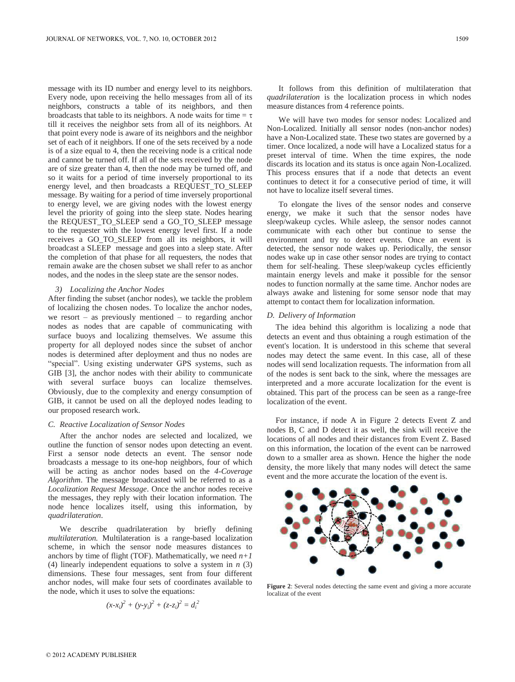message with its ID number and energy level to its neighbors. Every node, upon receiving the hello messages from all of its neighbors, constructs a table of its neighbors, and then broadcasts that table to its neighbors. A node waits for time  $=\tau$ till it receives the neighbor sets from all of its neighbors. At that point every node is aware of its neighbors and the neighbor set of each of it neighbors. If one of the sets received by a node is of a size equal to 4, then the receiving node is a critical node and cannot be turned off. If all of the sets received by the node are of size greater than 4, then the node may be turned off, and so it waits for a period of time inversely proportional to its energy level, and then broadcasts a REQUEST\_TO\_SLEEP message. By waiting for a period of time inversely proportional to energy level, we are giving nodes with the lowest energy level the priority of going into the sleep state. Nodes hearing the REQUEST\_TO\_SLEEP send a GO\_TO\_SLEEP message to the requester with the lowest energy level first. If a node receives a GO\_TO\_SLEEP from all its neighbors, it will broadcast a SLEEP message and goes into a sleep state. After the completion of that phase for all requesters, the nodes that remain awake are the chosen subset we shall refer to as anchor nodes, and the nodes in the sleep state are the sensor nodes.

#### *3) Localizing the Anchor Nodes*

After finding the subset (anchor nodes), we tackle the problem of localizing the chosen nodes. To localize the anchor nodes, we resort – as previously mentioned – to regarding anchor nodes as nodes that are capable of communicating with surface buoys and localizing themselves. We assume this property for all deployed nodes since the subset of anchor nodes is determined after deployment and thus no nodes are "special". Using existing underwater GPS systems, such as GIB [3], the anchor nodes with their ability to communicate with several surface buoys can localize themselves. Obviously, due to the complexity and energy consumption of GIB, it cannot be used on all the deployed nodes leading to our proposed research work.

#### *C. Reactive Localization of Sensor Nodes*

After the anchor nodes are selected and localized, we outline the function of sensor nodes upon detecting an event. First a sensor node detects an event. The sensor node broadcasts a message to its one-hop neighbors, four of which will be acting as anchor nodes based on the *4-Coverage Algorithm*. The message broadcasted will be referred to as a *Localization Request Message*. Once the anchor nodes receive the messages, they reply with their location information. The node hence localizes itself, using this information, by *quadrilateration*.

We describe quadrilateration by briefly defining *multilateration.* Multilateration is a range-based localization scheme, in which the sensor node measures distances to anchors by time of flight (TOF). Mathematically, we need  $n+1$ (4) linearly independent equations to solve a system in *n* (3) dimensions. These four messages, sent from four different anchor nodes, will make four sets of coordinates available to the node, which it uses to solve the equations:

$$
(x-x_i)^2 + (y-y_i)^2 + (z-z_i)^2 = d_i^2
$$

It follows from this definition of multilateration that *quadrilateration* is the localization process in which nodes measure distances from 4 reference points.

We will have two modes for sensor nodes: Localized and Non-Localized. Initially all sensor nodes (non-anchor nodes) have a Non-Localized state. These two states are governed by a timer. Once localized, a node will have a Localized status for a preset interval of time. When the time expires, the node discards its location and its status is once again Non-Localized. This process ensures that if a node that detects an event continues to detect it for a consecutive period of time, it will not have to localize itself several times.

To elongate the lives of the sensor nodes and conserve energy, we make it such that the sensor nodes have sleep/wakeup cycles. While asleep, the sensor nodes cannot communicate with each other but continue to sense the environment and try to detect events. Once an event is detected, the sensor node wakes up. Periodically, the sensor nodes wake up in case other sensor nodes are trying to contact them for self-healing. These sleep/wakeup cycles efficiently maintain energy levels and make it possible for the sensor nodes to function normally at the same time. Anchor nodes are always awake and listening for some sensor node that may attempt to contact them for localization information.

#### *D. Delivery of Information*

The idea behind this algorithm is localizing a node that detects an event and thus obtaining a rough estimation of the event's location. It is understood in this scheme that several nodes may detect the same event. In this case, all of these nodes will send localization requests. The information from all of the nodes is sent back to the sink, where the messages are interpreted and a more accurate localization for the event is obtained. This part of the process can be seen as a range-free localization of the event.

For instance, if node A in Figure 2 detects Event Z and nodes B, C and D detect it as well, the sink will receive the locations of all nodes and their distances from Event Z. Based on this information, the location of the event can be narrowed down to a smaller area as shown. Hence the higher the node density, the more likely that many nodes will detect the same event and the more accurate the location of the event is.



**Figure 2**: Several nodes detecting the same event and giving a more accurate localizat of the event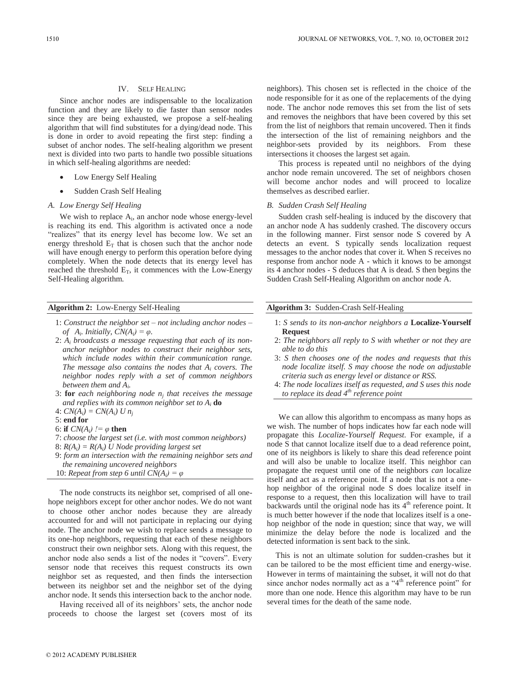#### IV. SELF HEALING

Since anchor nodes are indispensable to the localization function and they are likely to die faster than sensor nodes since they are being exhausted, we propose a self-healing algorithm that will find substitutes for a dying/dead node. This is done in order to avoid repeating the first step: finding a subset of anchor nodes. The self-healing algorithm we present next is divided into two parts to handle two possible situations in which self-healing algorithms are needed:

- Low Energy Self Healing
- Sudden Crash Self Healing

#### *A. Low Energy Self Healing*

We wish to replace  $A_i$ , an anchor node whose energy-level is reaching its end. This algorithm is activated once a node "realizes" that its energy level has become low. We set an energy threshold  $E_T$  that is chosen such that the anchor node will have enough energy to perform this operation before dying completely. When the node detects that its energy level has reached the threshold  $E_T$ , it commences with the Low-Energy Self-Healing algorithm.

#### **Algorithm 2:** Low-Energy Self-Healing

- 1: *Construct the neighbor set – not including anchor nodes – of*  $A_i$ *. Initially,*  $CN(A_i) = \varphi$ *.*
- 2: *Ai broadcasts a message requesting that each of its nonanchor neighbor nodes to construct their neighbor sets, which include nodes within their communication range. The message also contains the nodes that Ai covers. The neighbor nodes reply with a set of common neighbors between them and Ai.*
- 3: **for** *each neighboring node nj that receives the message and replies with its common neighbor set to Ai* **do**
- 4:  $CN(A_i) = CN(A_i)$  U  $n_i$

#### 5: **end for**

- 6: **if**  $CN(A_i)$   $\neq \varphi$  **then**
- 7: *choose the largest set (i.e. with most common neighbors)*
- 8: *R(Ai) = R(Ai) U Node providing largest set*
- 9: *form an intersection with the remaining neighbor sets and the remaining uncovered neighbors*
- 10: *Repeat from step 6 until*  $CN(A_i) = \varphi$

The node constructs its neighbor set, comprised of all onehope neighbors except for other anchor nodes. We do not want to choose other anchor nodes because they are already accounted for and will not participate in replacing our dying node. The anchor node we wish to replace sends a message to its one-hop neighbors, requesting that each of these neighbors construct their own neighbor sets. Along with this request, the anchor node also sends a list of the nodes it "covers". Every sensor node that receives this request constructs its own neighbor set as requested, and then finds the intersection between its neighbor set and the neighbor set of the dying anchor node. It sends this intersection back to the anchor node.

Having received all of its neighbors' sets, the anchor node proceeds to choose the largest set (covers most of its

neighbors). This chosen set is reflected in the choice of the node responsible for it as one of the replacements of the dying node. The anchor node removes this set from the list of sets and removes the neighbors that have been covered by this set from the list of neighbors that remain uncovered. Then it finds the intersection of the list of remaining neighbors and the neighbor-sets provided by its neighbors. From these intersections it chooses the largest set again.

This process is repeated until no neighbors of the dying anchor node remain uncovered. The set of neighbors chosen will become anchor nodes and will proceed to localize themselves as described earlier.

#### *B. Sudden Crash Self Healing*

Sudden crash self-healing is induced by the discovery that an anchor node A has suddenly crashed. The discovery occurs in the following manner. First sensor node S covered by A detects an event. S typically sends localization request messages to the anchor nodes that cover it. When S receives no response from anchor node A - which it knows to be amongst its 4 anchor nodes - S deduces that A is dead. S then begins the Sudden Crash Self-Healing Algorithm on anchor node A.

#### **Algorithm 3:** Sudden-Crash Self-Healing

- 1: *S sends to its non-anchor neighbors a* **Localize-Yourself Request**
- 2: *The neighbors all reply to S with whether or not they are able to do this*
- 3: *S then chooses one of the nodes and requests that this node localize itself. S may choose the node on adjustable criteria such as energy level or distance or RSS.*
- 4: *The node localizes itself as requested, and S uses this node to replace its dead 4th reference point*

We can allow this algorithm to encompass as many hops as we wish. The number of hops indicates how far each node will propagate this *Localize-Yourself Request*. For example, if a node S that cannot localize itself due to a dead reference point, one of its neighbors is likely to share this dead reference point and will also be unable to localize itself. This neighbor can propagate the request until one of the neighbors *can* localize itself and act as a reference point. If a node that is not a onehop neighbor of the original node S does localize itself in response to a request, then this localization will have to trail backwards until the original node has its  $4<sup>th</sup>$  reference point. It is much better however if the node that localizes itself is a onehop neighbor of the node in question; since that way, we will minimize the delay before the node is localized and the detected information is sent back to the sink.

This is not an ultimate solution for sudden-crashes but it can be tailored to be the most efficient time and energy-wise. However in terms of maintaining the subset, it will not do that since anchor nodes normally act as a "4<sup>th</sup> reference point" for more than one node. Hence this algorithm may have to be run several times for the death of the same node.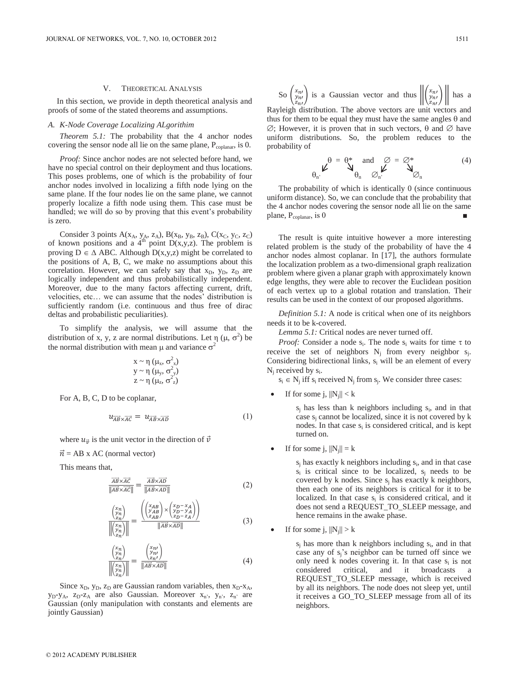#### V. THEORETICAL ANALYSIS

In this section, we provide in depth theoretical analysis and proofs of some of the stated theorems and assumptions.

#### *A. K-Node Coverage Localizing ALgorithim*

*Theorem 5.1:* The probability that the 4 anchor nodes covering the sensor node all lie on the same plane,  $P_{\text{coplanar}}$ , is 0.

*Proof:* Since anchor nodes are not selected before hand, we have no special control on their deployment and thus locations. This poses problems, one of which is the probability of four anchor nodes involved in localizing a fifth node lying on the same plane. If the four nodes lie on the same plane, we cannot properly localize a fifth node using them. This case must be handled; we will do so by proving that this event's probability is zero.

Consider 3 points  $A(x_A, y_A, z_A)$ ,  $B(x_B, y_B, z_B)$ ,  $C(x_C, y_C, z_C)$ of known positions and a  $4^{\text{th}}$  point  $D(x,y,z)$ . The problem is proving  $D \in \Delta$  ABC. Although  $D(x,y,z)$  might be correlated to the positions of A, B, C, we make no assumptions about this correlation. However, we can safely say that  $x_D$ ,  $y_D$ ,  $z_D$  are logically independent and thus probabilistically independent. Moreover, due to the many factors affecting current, drift, velocities, etc… we can assume that the nodes' distribution is sufficiently random (i.e. continuous and thus free of dirac deltas and probabilistic peculiarities).

To simplify the analysis, we will assume that the distribution of x, y, z are normal distributions. Let  $\eta$  ( $\mu$ ,  $\sigma^2$ ) be the normal distribution with mean  $\mu$  and variance  $\sigma^2$ 

$$
\begin{array}{l}x \thicksim \eta \;(\mu_x,\, \sigma^2_x) \\ y \thicksim \eta \;(\mu_y,\, \sigma^2_y) \\ z \thicksim \eta \;(\mu_z,\, \sigma^2_z)\end{array}
$$

For A, B, C, D to be coplanar,

$$
u_{\overrightarrow{AB}\times\overrightarrow{AC}} = u_{\overrightarrow{AB}\times\overrightarrow{AD}} \tag{1}
$$

where  $u_{\vec{v}}$  is the unit vector in the direction of  $\vec{v}$ 

 $\vec{n}$  = AB x AC (normal vector)

This means that,

$$
\frac{\overrightarrow{AB} \times \overrightarrow{AC}}{\|\overrightarrow{AB} \times \overrightarrow{AC}\|} = \frac{\overrightarrow{AB} \times \overrightarrow{AD}}{\|\overrightarrow{AB} \times \overrightarrow{AD}\|}
$$
 (2)

$$
\frac{\binom{x_n}{y_n}}{\binom{x_n}{z_n}} = \frac{\left(\binom{x_{AB}}{y_{AB}} \times \binom{x_D - x_A}{y_D - y_A}\right)}{\left\|\binom{x_n}{z_D}\right\|} = \frac{\left(\binom{x_D}{y_B} \times \binom{x_D - x_A}{y_D - y_A}\right)}{\left\|\frac{x_D - x_A}{y_D - y_A}\right\|} \tag{3}
$$

$$
\frac{\binom{x_n}{y_n}}{\left\| \binom{x_n}{z_n} \right\|} = \frac{\binom{x_n}{y_n}}{\left\| \overrightarrow{AB} \times \overrightarrow{AD} \right\|} \tag{4}
$$

Since  $x_D$ ,  $y_D$ ,  $z_D$  are Gaussian random variables, then  $x_D-x_A$ ,  $y_D-y_A$ ,  $z_D-z_A$  are also Gaussian. Moreover  $x_n$ ,  $y_n$ ,  $z_n$  are Gaussian (only manipulation with constants and elements are jointly Gaussian)

So 
$$
\begin{pmatrix} x_{n'} \\ y_{n'} \end{pmatrix}
$$
 is a Gaussian vector and thus  $\left\| \begin{pmatrix} x_{n'} \\ y_{n'} \end{pmatrix} \right\|$  has a Rayleigh distribution. The above vectors are unit vectors and thus for them to be equal they must have the same angles  $\theta$  and  $\emptyset$ ; However, it is proven that in such vectors,  $\theta$  and  $\emptyset$  have uniform distributions. So, the problem reduces to the probability of

$$
\mathbf{y}_{n} \mathbf{y}^{\theta} = \mathbf{y}_{n} \quad \text{and} \quad \mathbf{z} = \mathbf{y}_{n} \quad \mathbf{y}_{n} \tag{4}
$$

The probability of which is identically 0 (since continuous uniform distance). So, we can conclude that the probability that the 4 anchor nodes covering the sensor node all lie on the same plane,  $P_{\text{coplanar}}$ , is 0

The result is quite intuitive however a more interesting related problem is the study of the probability of have the 4 anchor nodes almost coplanar. In [17], the authors formulate the localization problem as a two-dimensional graph realization problem where given a planar graph with approximately known edge lengths, they were able to recover the Euclidean position of each vertex up to a global rotation and translation. Their results can be used in the context of our proposed algorithms.

*Definition 5.1:* A node is critical when one of its neighbors needs it to be k-covered.

*Lemma 5.1:* Critical nodes are never turned off.

*Proof:* Consider a node  $s_i$ . The node  $s_i$  waits for time  $\tau$  to receive the set of neighbors  $N_i$  from every neighbor  $s_i$ . Considering bidirectional links,  $s_i$  will be an element of every  $N_i$  received by  $s_i$ .

 $s_i \in N_i$  iff  $s_i$  received  $N_i$  from  $s_i$ . We consider three cases:

If for some j,  $||N_i|| < k$ 

 $s_i$  has less than k neighbors including  $s_i$ , and in that case  $s_i$  cannot be localized, since it is not covered by k nodes. In that case  $s_i$  is considered critical, and is kept turned on.

If for some j,  $||N_i|| = k$ 

 $s_i$  has exactly k neighbors including  $s_i$ , and in that case  $s_i$  is critical since to be localized,  $s_i$  needs to be covered by k nodes. Since  $s_i$  has exactly k neighbors, then each one of its neighbors is critical for it to be localized. In that case  $s_i$  is considered critical, and it does not send a REQUEST\_TO\_SLEEP message, and hence remains in the awake phase.

If for some j,  $||N_i|| > k$ 

 $s_i$  has more than k neighbors including  $s_i$ , and in that case any of sj's neighbor can be turned off since we only need k nodes covering it. In that case  $s_i$  is not considered critical, and it broadcasts a critical, and it broadcasts a REQUEST\_TO\_SLEEP message, which is received by all its neighbors. The node does not sleep yet, until it receives a GO\_TO\_SLEEP message from all of its neighbors.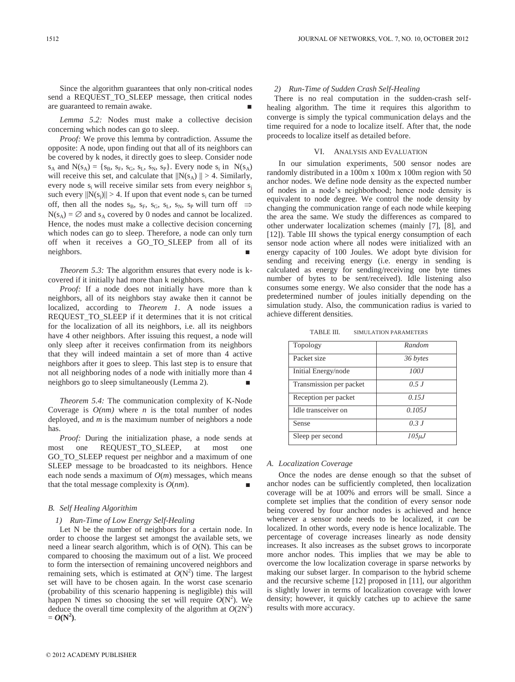Since the algorithm guarantees that only non-critical nodes send a REQUEST TO SLEEP message, then critical nodes are guaranteed to remain awake.

*Lemma 5.2:* Nodes must make a collective decision concerning which nodes can go to sleep.

*Proof:* We prove this lemma by contradiction. Assume the opposite: A node, upon finding out that all of its neighbors can be covered by k nodes, it directly goes to sleep. Consider node  $s_A$  and  $N(s_A) = \{s_B, s_F, s_G, s_L, s_N, s_P\}$ . Every node  $s_i$  in  $N(s_A)$ will receive this set, and calculate that  $||N(s_A)|| > 4$ . Similarly, every node  $s_i$  will receive similar sets from every neighbor  $s_i$ such every  $||N(s_i)|| > 4$ . If upon that event node  $s_i$  can be turned off, then all the nodes  $s_B$ ,  $s_F$ ,  $s_G$ ,  $s_L$ ,  $s_N$ ,  $s_P$  will turn off  $\Rightarrow$  $N(s_A) = \emptyset$  and  $s_A$  covered by 0 nodes and cannot be localized. Hence, the nodes must make a collective decision concerning which nodes can go to sleep. Therefore, a node can only turn off when it receives a GO\_TO\_SLEEP from all of its neighbors.

*Theorem 5.3:* The algorithm ensures that every node is kcovered if it initially had more than k neighbors.

*Proof:* If a node does not initially have more than k neighbors, all of its neighbors stay awake then it cannot be localized, according to *Theorem 1*. A node issues a REQUEST\_TO\_SLEEP if it determines that it is not critical for the localization of all its neighbors, i.e. all its neighbors have 4 other neighbors. After issuing this request, a node will only sleep after it receives confirmation from its neighbors that they will indeed maintain a set of more than 4 active neighbors after it goes to sleep. This last step is to ensure that not all neighboring nodes of a node with initially more than 4 neighbors go to sleep simultaneously (Lemma 2). ■

*Theorem 5.4:* The communication complexity of K-Node Coverage is  $O(nm)$  where *n* is the total number of nodes deployed, and *m* is the maximum number of neighbors a node has.

*Proof:* During the initialization phase, a node sends at most one REQUEST\_TO\_SLEEP, at most one GO\_TO\_SLEEP request per neighbor and a maximum of one SLEEP message to be broadcasted to its neighbors. Hence each node sends a maximum of  $O(m)$  messages, which means that the total message complexity is  $O(nm)$ .

#### *B. Self Healing Algorithim*

#### *1) Run-Time of Low Energy Self-Healing*

Let N be the number of neighbors for a certain node. In order to choose the largest set amongst the available sets, we need a linear search algorithm, which is of *O*(N). This can be compared to choosing the maximum out of a list. We proceed to form the intersection of remaining uncovered neighbors and remaining sets, which is estimated at  $O(N^2)$  time. The largest set will have to be chosen again. In the worst case scenario (probability of this scenario happening is negligible) this will happen N times so choosing the set will require  $O(N^2)$ . We deduce the overall time complexity of the algorithm at  $O(2N^2)$  $= O(N^2)$ .

#### *2) Run-Time of Sudden Crash Self-Healing*

There is no real computation in the sudden-crash selfhealing algorithm. The time it requires this algorithm to converge is simply the typical communication delays and the time required for a node to localize itself. After that, the node proceeds to localize itself as detailed before.

#### VI. ANALYSIS AND EVALUATION

In our simulation experiments, 500 sensor nodes are randomly distributed in a 100m x 100m x 100m region with 50 anchor nodes. We define node density as the expected number of nodes in a node's neighborhood; hence node density is equivalent to node degree. We control the node density by changing the communication range of each node while keeping the area the same. We study the differences as compared to other underwater localization schemes (mainly [7], [8], and [12]). Table III shows the typical energy consumption of each sensor node action where all nodes were initialized with an energy capacity of 100 Joules. We adopt byte division for sending and receiving energy (i.e. energy in sending is calculated as energy for sending/receiving one byte times number of bytes to be sent/received). Idle listening also consumes some energy. We also consider that the node has a predetermined number of joules initially depending on the simulation study. Also, the communication radius is varied to achieve different densities.

TABLE III. SIMULATION PARAMETERS

| Topology                | Random      |
|-------------------------|-------------|
| Packet size             | 36 bytes    |
| Initial Energy/node     | 100J        |
| Transmission per packet | 0.5 J       |
| Reception per packet    | 0.15J       |
| Idle transceiver on     | 0.105J      |
| Sense                   | 0.3J        |
| Sleep per second        | $105 \mu J$ |

#### *A. Localization Coverage*

Once the nodes are dense enough so that the subset of anchor nodes can be sufficiently completed, then localization coverage will be at 100% and errors will be small. Since a complete set implies that the condition of every sensor node being covered by four anchor nodes is achieved and hence whenever a sensor node needs to be localized, it *can* be localized. In other words, every node is hence localizable. The percentage of coverage increases linearly as node density increases. It also increases as the subset grows to incorporate more anchor nodes. This implies that we may be able to overcome the low localization coverage in sparse networks by making our subset larger. In comparison to the hybrid scheme and the recursive scheme [12] proposed in [11], our algorithm is slightly lower in terms of localization coverage with lower density; however, it quickly catches up to achieve the same results with more accuracy.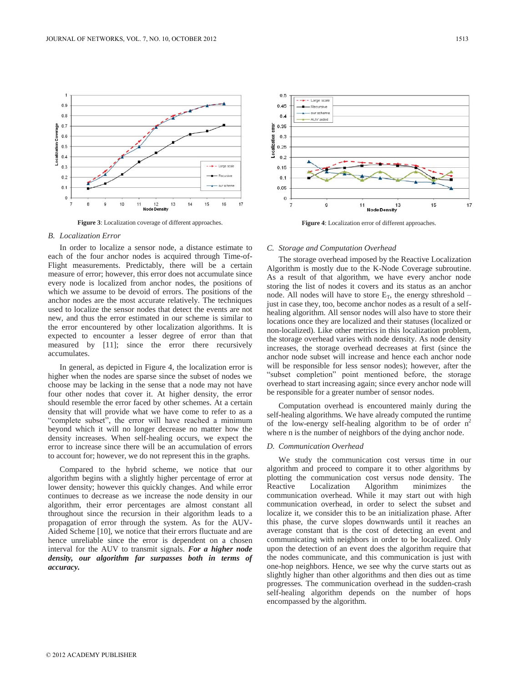

**Figure 3**: Localization coverage of different approaches.

#### *B. Localization Error*

In order to localize a sensor node, a distance estimate to each of the four anchor nodes is acquired through Time-of-Flight measurements. Predictably, there will be a certain measure of error; however, this error does not accumulate since every node is localized from anchor nodes, the positions of which we assume to be devoid of errors. The positions of the anchor nodes are the most accurate relatively. The techniques used to localize the sensor nodes that detect the events are not new, and thus the error estimated in our scheme is similar to the error encountered by other localization algorithms. It is expected to encounter a lesser degree of error than that measured by [11]; since the error there recursively accumulates.

In general, as depicted in Figure 4, the localization error is higher when the nodes are sparse since the subset of nodes we choose may be lacking in the sense that a node may not have four other nodes that cover it. At higher density, the error should resemble the error faced by other schemes. At a certain density that will provide what we have come to refer to as a "complete subset", the error will have reached a minimum beyond which it will no longer decrease no matter how the density increases. When self-healing occurs, we expect the error to increase since there will be an accumulation of errors to account for; however, we do not represent this in the graphs.

Compared to the hybrid scheme, we notice that our algorithm begins with a slightly higher percentage of error at lower density; however this quickly changes. And while error continues to decrease as we increase the node density in our algorithm, their error percentages are almost constant all throughout since the recursion in their algorithm leads to a propagation of error through the system. As for the AUV-Aided Scheme [10], we notice that their errors fluctuate and are hence unreliable since the error is dependent on a chosen interval for the AUV to transmit signals. *For a higher node density, our algorithm far surpasses both in terms of accuracy.*



**Figure 4**: Localization error of different approaches.

#### *C. Storage and Computation Overhead*

The storage overhead imposed by the Reactive Localization Algorithm is mostly due to the K-Node Coverage subroutine. As a result of that algorithm, we have every anchor node storing the list of nodes it covers and its status as an anchor node. All nodes will have to store  $E_T$ , the energy sthreshold – just in case they, too, become anchor nodes as a result of a selfhealing algorithm. All sensor nodes will also have to store their locations once they are localized and their statuses (localized or non-localized). Like other metrics in this localization problem, the storage overhead varies with node density. As node density increases, the storage overhead decreases at first (since the anchor node subset will increase and hence each anchor node will be responsible for less sensor nodes); however, after the "subset completion" point mentioned before, the storage overhead to start increasing again; since every anchor node will be responsible for a greater number of sensor nodes.

Computation overhead is encountered mainly during the self-healing algorithms. We have already computed the runtime of the low-energy self-healing algorithm to be of order  $n^2$ where n is the number of neighbors of the dying anchor node.

#### *D. Communication Overhead*

We study the communication cost versus time in our algorithm and proceed to compare it to other algorithms by plotting the communication cost versus node density. The Reactive Localization Algorithm minimizes the communication overhead. While it may start out with high communication overhead, in order to select the subset and localize it, we consider this to be an initialization phase. After this phase, the curve slopes downwards until it reaches an average constant that is the cost of detecting an event and communicating with neighbors in order to be localized. Only upon the detection of an event does the algorithm require that the nodes communicate, and this communication is just with one-hop neighbors. Hence, we see why the curve starts out as slightly higher than other algorithms and then dies out as time progresses. The communication overhead in the sudden-crash self-healing algorithm depends on the number of hops encompassed by the algorithm.